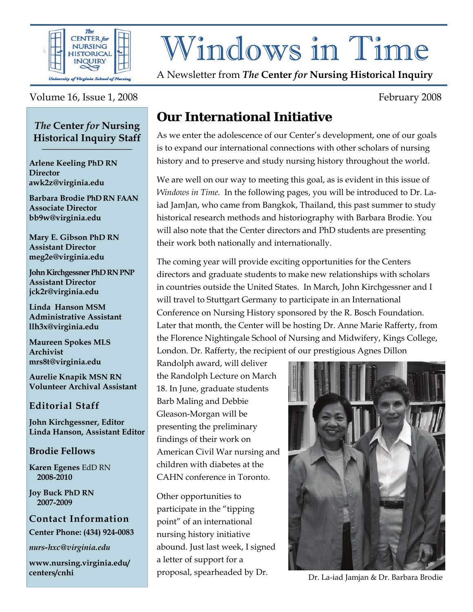

# Windows in Time

A Newsletter from *The* **Center** *for* **Nursing Historical Inquiry** 

#### Volume 16, Issue 1, 2008 February 2008

#### *The* **Center** *for* **Nursing Historical Inquiry Staff \_\_\_\_\_\_\_\_\_\_\_\_\_\_\_\_\_\_**

**Arlene Keeling PhD RN Director awk2z@virginia.edu** 

**Barbara Brodie PhD RN FAAN Associate Director bb9w@virginia.edu**

**Mary E. Gibson PhD RN Assistant Director meg2e@virginia.edu** 

**John Kirchgessner PhD RN PNP Assistant Director jck2r@virginia.edu** 

**Linda Hanson MSM Administrative Assistant llh3x@virginia.edu** 

**Maureen Spokes MLS Archivist mrs8t@virginia.edu** 

**Aurelie Knapik MSN RN Volunteer Archival Assistant** 

#### **Editorial Staff**

**John Kirchgessner, Editor Linda Hanson, Assistant Editor** 

#### **Brodie Fellows**

**Karen Egenes** EdD RN  **2008-2010** 

**Joy Buck PhD RN 2007-2009** 

**Contact Information Center Phone: (434) 924-0083** 

*nurs-hxc@virginia.edu* 

**www.nursing.virginia.edu/ centers/cnhi**

## **Our International Initiative**

As we enter the adolescence of our Center's development, one of our goals is to expand our international connections with other scholars of nursing history and to preserve and study nursing history throughout the world.

We are well on our way to meeting this goal, as is evident in this issue of *Windows in Time.* In the following pages, you will be introduced to Dr. Laiad JamJan, who came from Bangkok, Thailand, this past summer to study historical research methods and historiography with Barbara Brodie. You will also note that the Center directors and PhD students are presenting their work both nationally and internationally.

The coming year will provide exciting opportunities for the Centers directors and graduate students to make new relationships with scholars in countries outside the United States. In March, John Kirchgessner and I will travel to Stuttgart Germany to participate in an International Conference on Nursing History sponsored by the R. Bosch Foundation. Later that month, the Center will be hosting Dr. Anne Marie Rafferty, from the Florence Nightingale School of Nursing and Midwifery, Kings College, London. Dr. Rafferty, the recipient of our prestigious Agnes Dillon

Randolph award, will deliver the Randolph Lecture on March 18. In June, graduate students Barb Maling and Debbie Gleason-Morgan will be presenting the preliminary findings of their work on American Civil War nursing and children with diabetes at the CAHN conference in Toronto.

Other opportunities to participate in the "tipping point" of an international nursing history initiative abound. Just last week, I signed a letter of support for a



proposal, spearheaded by Dr. Dr. La-iad Jamjan & Dr. Barbara Brodie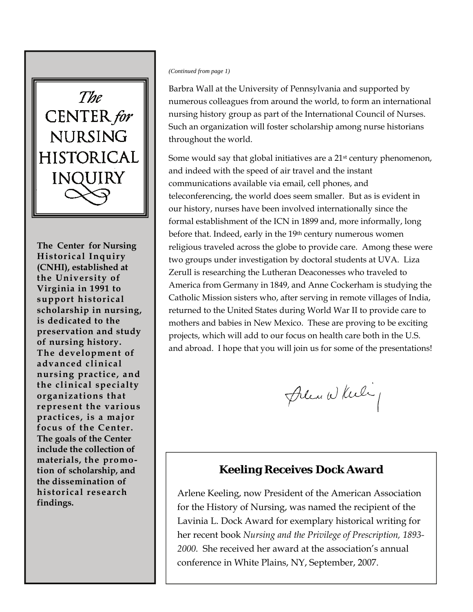

**The Center for Nursing**  $\overline{\textbf{Historical Inquiv}}$ **especially emphasized (CNHI), established at the University of The goals of the Center Virginia in 1991 to include the collection of support historical materials, the promo-scholarship in nursing, tion of scholarship, and is dedicated to the the dissemination of preservation and study historical research of nursing history. findings. The development of advanced clinical nursing practice, and the clinical specialty organizations that represent the various practices, is a major focus of the Center. The goals of the Center include the collection of materials, the promotion of scholarship, and the dissemination of historical research findings.** 

#### *(Continued from page 1)*

Barbra Wall at the University of Pennsylvania and supported by numerous colleagues from around the world, to form an international nursing history group as part of the International Council of Nurses. Such an organization will foster scholarship among nurse historians throughout the world.

Some would say that global initiatives are a 21st century phenomenon, and indeed with the speed of air travel and the instant communications available via email, cell phones, and teleconferencing, the world does seem smaller. But as is evident in our history, nurses have been involved internationally since the formal establishment of the ICN in 1899 and, more informally, long before that. Indeed, early in the 19th century numerous women religious traveled across the globe to provide care. Among these were two groups under investigation by doctoral students at UVA. Liza Zerull is researching the Lutheran Deaconesses who traveled to America from Germany in 1849, and Anne Cockerham is studying the Catholic Mission sisters who, after serving in remote villages of India, returned to the United States during World War II to provide care to mothers and babies in New Mexico. These are proving to be exciting projects, which will add to our focus on health care both in the U.S. and abroad. I hope that you will join us for some of the presentations!

Plen While

#### **Keeling Receives Dock Award**

Arlene Keeling, now President of the American Association for the History of Nursing, was named the recipient of the Lavinia L. Dock Award for exemplary historical writing for her recent book *Nursing and the Privilege of Prescription, 1893- 2000.* She received her award at the association's annual conference in White Plains, NY, September, 2007.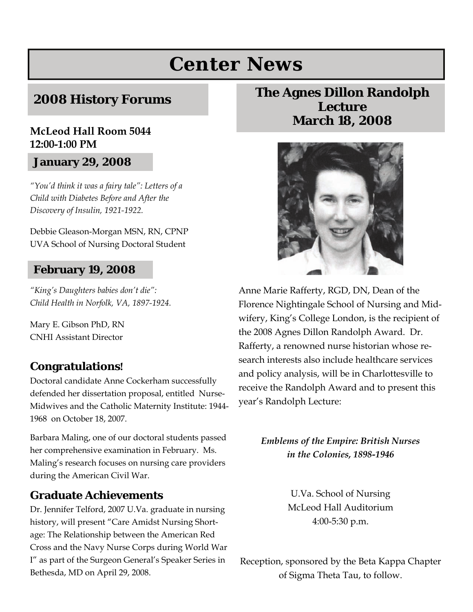# **Center News**

#### **2008 History Forums**

#### **McLeod Hall Room 5044 12:00-1:00 PM**

#### **January 29, 2008**

*"You'd think it was a fairy tale": Letters of a Child with Diabetes Before and After the Discovery of Insulin, 1921-1922.* 

Debbie Gleason-Morgan MSN, RN, CPNP UVA School of Nursing Doctoral Student

#### **February 19, 2008**

*"King's Daughters babies don't die": Child Health in Norfolk, VA, 1897-1924.* 

Mary E. Gibson PhD, RN CNHI Assistant Director

#### **Congratulations!**

Doctoral candidate Anne Cockerham successfully defended her dissertation proposal, entitled Nurse-Midwives and the Catholic Maternity Institute: 1944- 1968 on October 18, 2007.

Barbara Maling, one of our doctoral students passed her comprehensive examination in February. Ms. Maling's research focuses on nursing care providers during the American Civil War.

#### **Graduate Achievements**

Dr. Jennifer Telford, 2007 U.Va. graduate in nursing history, will present "Care Amidst Nursing Shortage: The Relationship between the American Red Cross and the Navy Nurse Corps during World War I" as part of the Surgeon General's Speaker Series in Bethesda, MD on April 29, 2008.

#### **The Agnes Dillon Randolph Lecture March 18, 2008**



Anne Marie Rafferty, RGD, DN, Dean of the Florence Nightingale School of Nursing and Midwifery, King's College London, is the recipient of the 2008 Agnes Dillon Randolph Award. Dr. Rafferty, a renowned nurse historian whose research interests also include healthcare services and policy analysis, will be in Charlottesville to receive the Randolph Award and to present this year's Randolph Lecture:

> *Emblems of the Empire: British Nurses in the Colonies, 1898-1946*

> > U.Va. School of Nursing McLeod Hall Auditorium 4:00-5:30 p.m.

Reception, sponsored by the Beta Kappa Chapter of Sigma Theta Tau, to follow.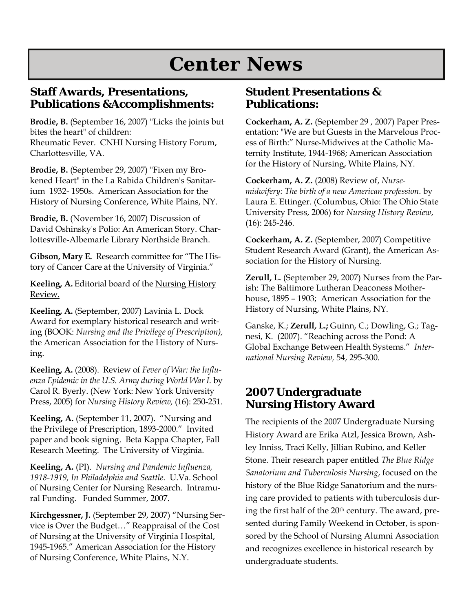# **Center News**

#### **Staff Awards, Presentations, Publications &Accomplishments:**

**Brodie, B.** (September 16, 2007) "Licks the joints but bites the heart" of children: Rheumatic Fever. CNHI Nursing History Forum, Charlottesville, VA.

**Brodie, B.** (September 29, 2007) "Fixen my Brokened Heart" in the La Rabida Children's Sanitarium 1932- 1950s. American Association for the History of Nursing Conference, White Plains, NY.

**Brodie, B.** (November 16, 2007) Discussion of David Oshinsky's Polio: An American Story. Charlottesville-Albemarle Library Northside Branch.

**Gibson, Mary E.** Research committee for "The History of Cancer Care at the University of Virginia."

**Keeling, A.** Editorial board of the Nursing History Review.

**Keeling, A.** (September, 2007) Lavinia L. Dock Award for exemplary historical research and writing (BOOK: *Nursing and the Privilege of Prescription),*  the American Association for the History of Nursing.

**Keeling, A.** (2008). Review of *Fever of War: the Influenza Epidemic in the U.S. Army during World War I.* by Carol R. Byerly. (New York: New York University Press, 2005) for *Nursing History Review,* (16): 250-251.

**Keeling, A.** (September 11, 2007). "Nursing and the Privilege of Prescription, 1893-2000." Invited paper and book signing. Beta Kappa Chapter, Fall Research Meeting. The University of Virginia.

**Keeling, A.** (PI). *Nursing and Pandemic Influenza, 1918-1919, In Philadelphia and Seattle.* U.Va. School of Nursing Center for Nursing Research. Intramural Funding. Funded Summer, 2007.

**Kirchgessner, J.** (September 29, 2007) "Nursing Service is Over the Budget…" Reappraisal of the Cost of Nursing at the University of Virginia Hospital, 1945-1965." American Association for the History of Nursing Conference, White Plains, N.Y.

#### **Student Presentations & Publications:**

**Cockerham, A. Z.** (September 29 , 2007) Paper Presentation: "We are but Guests in the Marvelous Process of Birth:" Nurse-Midwives at the Catholic Maternity Institute, 1944-1968; American Association for the History of Nursing, White Plains, NY.

**Cockerham, A. Z.** (2008) Review of, *Nursemidwifery: The birth of a new American profession*. by Laura E. Ettinger. (Columbus, Ohio: The Ohio State University Press, 2006) for *Nursing History Review*, (16): 245-246.

**Cockerham, A. Z.** (September, 2007) Competitive Student Research Award (Grant), the American Association for the History of Nursing.

**Zerull, L.** (September 29, 2007) Nurses from the Parish: The Baltimore Lutheran Deaconess Motherhouse, 1895 – 1903; American Association for the History of Nursing, White Plains, NY.

Ganske, K.; **Zerull, L.;** Guinn, C.; Dowling, G.; Tagnesi, K. (2007). "Reaching across the Pond: A Global Exchange Between Health Systems." *International Nursing Review,* 54, 295-300.

#### **2007 Undergraduate Nursing History Award**

The recipients of the 2007 Undergraduate Nursing History Award are Erika Atzl, Jessica Brown, Ashley Inniss, Traci Kelly, Jillian Rubino, and Keller Stone. Their research paper entitled *The Blue Ridge Sanatorium and Tuberculosis Nursing*, focused on the history of the Blue Ridge Sanatorium and the nursing care provided to patients with tuberculosis during the first half of the 20<sup>th</sup> century. The award, presented during Family Weekend in October, is sponsored by the School of Nursing Alumni Association and recognizes excellence in historical research by undergraduate students.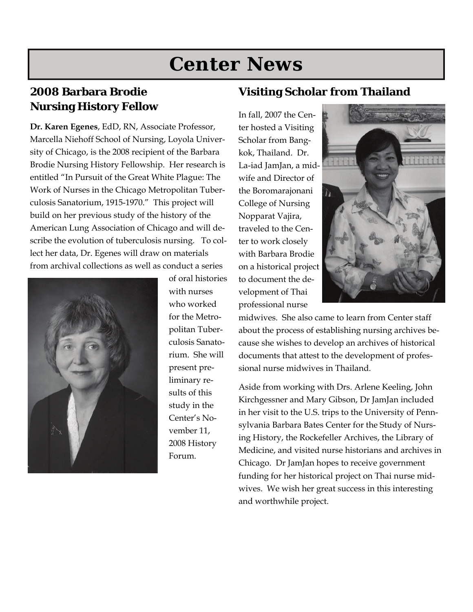# **Center News**

#### **2008 Barbara Brodie Nursing History Fellow**

**Dr. Karen Egenes**, EdD, RN, Associate Professor, Marcella Niehoff School of Nursing, Loyola University of Chicago, is the 2008 recipient of the Barbara Brodie Nursing History Fellowship. Her research is entitled "In Pursuit of the Great White Plague: The Work of Nurses in the Chicago Metropolitan Tuberculosis Sanatorium, 1915-1970." This project will build on her previous study of the history of the American Lung Association of Chicago and will describe the evolution of tuberculosis nursing. To collect her data, Dr. Egenes will draw on materials from archival collections as well as conduct a series



of oral histories with nurses who worked for the Metropolitan Tuberculosis Sanatorium. She will present preliminary results of this study in the Center's November 11, 2008 History Forum.

#### **Visiting Scholar from Thailand**

In fall, 2007 the Center hosted a Visiting Scholar from Bangkok, Thailand. Dr. La-iad JamJan, a midwife and Director of the Boromarajonani College of Nursing Nopparat Vajira, traveled to the Center to work closely with Barbara Brodie on a historical project to document the development of Thai professional nurse



midwives. She also came to learn from Center staff about the process of establishing nursing archives because she wishes to develop an archives of historical documents that attest to the development of professional nurse midwives in Thailand.

Aside from working with Drs. Arlene Keeling, John Kirchgessner and Mary Gibson, Dr JamJan included in her visit to the U.S. trips to the University of Pennsylvania Barbara Bates Center for the Study of Nursing History, the Rockefeller Archives, the Library of Medicine, and visited nurse historians and archives in Chicago. Dr JamJan hopes to receive government funding for her historical project on Thai nurse midwives. We wish her great success in this interesting and worthwhile project.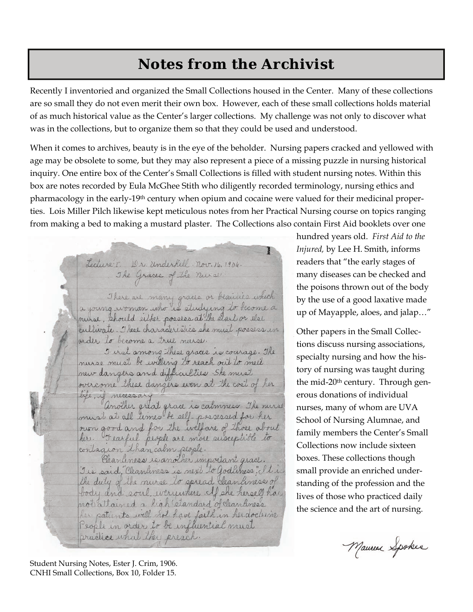# **Notes from the Archivist**

Recently I inventoried and organized the Small Collections housed in the Center. Many of these collections are so small they do not even merit their own box. However, each of these small collections holds material of as much historical value as the Center's larger collections. My challenge was not only to discover what was in the collections, but to organize them so that they could be used and understood.

When it comes to archives, beauty is in the eye of the beholder. Nursing papers cracked and yellowed with age may be obsolete to some, but they may also represent a piece of a missing puzzle in nursing historical inquiry. One entire box of the Center's Small Collections is filled with student nursing notes. Within this box are notes recorded by Eula McGhee Stith who diligently recorded terminology, nursing ethics and pharmacology in the early-19<sup>th</sup> century when opium and cocaine were valued for their medicinal properties. Lois Miller Pilch likewise kept meticulous notes from her Practical Nursing course on topics ranging from making a bed to making a mustard plaster. The Collections also contain First Aid booklets over one

ı

Lecture I. Dr. Underkill. nov. 16, 1906. The Graces of the nurse There are many graces or beauties which a young woman who is studying to become a mirse, should either posses at the elart or else cultivate. These characteristics she must possess in order to become a true nurse. I irst among these graces is courage. The nurse must be willing to reach out to meet

new dangers and difficulties. She must overcome these dangers even at the cost of her life, if necessary

another great grace is calmness. The mirse must at all times be self-possessed for her ourn good and for the welfare of those about her. Fearful people are more susceptible to contagion than calm people.

Cleanliness is another important grace. I is said, Cleanliness is next to Godliness" I tri the duty of the nurse to spread clean liness of body and soul, everywhere cof she herself has not attained a high standard of clean aneas her patients will not have faith in her doctrine People in order to be influential must practice what they preach.

hundred years old. *First Aid to the Injured,* by Lee H. Smith, informs readers that "the early stages of many diseases can be checked and the poisons thrown out of the body by the use of a good laxative made up of Mayapple, aloes, and jalap…"

Other papers in the Small Collections discuss nursing associations, specialty nursing and how the history of nursing was taught during the mid-20th century. Through generous donations of individual nurses, many of whom are UVA School of Nursing Alumnae, and family members the Center's Small Collections now include sixteen boxes. These collections though small provide an enriched understanding of the profession and the lives of those who practiced daily the science and the art of nursing.

Mauren Spokes

Student Nursing Notes, Ester J. Crim, 1906. CNHI Small Collections, Box 10, Folder 15.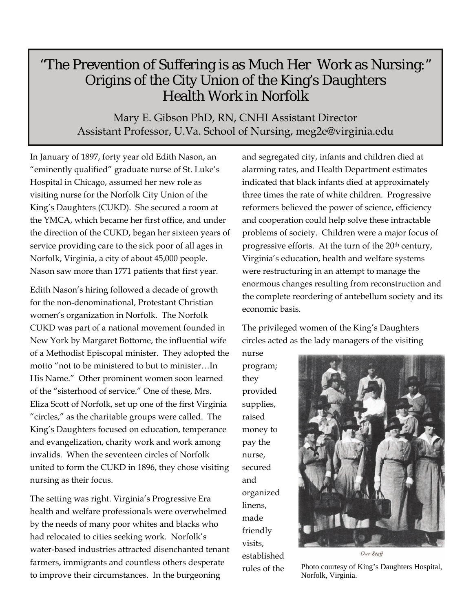### "The Prevention of Suffering is as Much Her Work as Nursing:" Origins of the City Union of the King's Daughters Health Work in Norfolk

Mary E. Gibson PhD, RN, CNHI Assistant Director Assistant Professor, U.Va. School of Nursing, meg2e@virginia.edu

In January of 1897, forty year old Edith Nason, an "eminently qualified" graduate nurse of St. Luke's Hospital in Chicago, assumed her new role as visiting nurse for the Norfolk City Union of the King's Daughters (CUKD). She secured a room at the YMCA, which became her first office, and under the direction of the CUKD, began her sixteen years of service providing care to the sick poor of all ages in Norfolk, Virginia, a city of about 45,000 people. Nason saw more than 1771 patients that first year.

Edith Nason's hiring followed a decade of growth for the non-denominational, Protestant Christian women's organization in Norfolk. The Norfolk CUKD was part of a national movement founded in New York by Margaret Bottome, the influential wife of a Methodist Episcopal minister. They adopted the motto "not to be ministered to but to minister…In His Name." Other prominent women soon learned of the "sisterhood of service." One of these, Mrs. Eliza Scott of Norfolk, set up one of the first Virginia "circles," as the charitable groups were called. The King's Daughters focused on education, temperance and evangelization, charity work and work among invalids. When the seventeen circles of Norfolk united to form the CUKD in 1896, they chose visiting nursing as their focus.

The setting was right. Virginia's Progressive Era health and welfare professionals were overwhelmed by the needs of many poor whites and blacks who had relocated to cities seeking work. Norfolk's water-based industries attracted disenchanted tenant farmers, immigrants and countless others desperate to improve their circumstances. In the burgeoning

and segregated city, infants and children died at alarming rates, and Health Department estimates indicated that black infants died at approximately three times the rate of white children. Progressive reformers believed the power of science, efficiency and cooperation could help solve these intractable problems of society. Children were a major focus of progressive efforts. At the turn of the 20<sup>th</sup> century, Virginia's education, health and welfare systems were restructuring in an attempt to manage the enormous changes resulting from reconstruction and the complete reordering of antebellum society and its economic basis.

The privileged women of the King's Daughters circles acted as the lady managers of the visiting

nurse program; they provided supplies, raised money to pay the nurse, secured and organized linens, made friendly visits, established



Our Staff

rules of the Photo courtesy of King's Daughters Hospital, Norfolk, Virginia.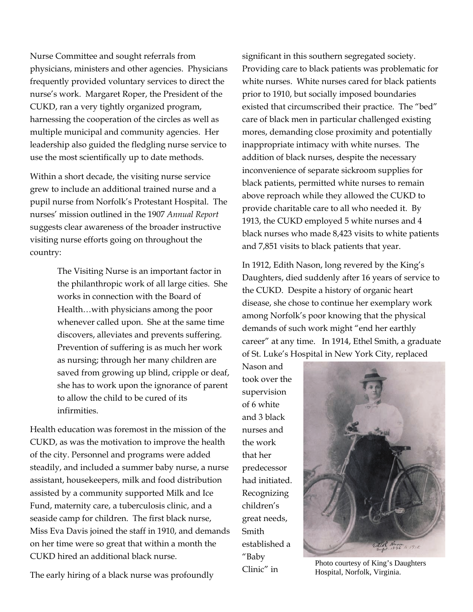Nurse Committee and sought referrals from physicians, ministers and other agencies. Physicians frequently provided voluntary services to direct the nurse's work. Margaret Roper, the President of the CUKD, ran a very tightly organized program, harnessing the cooperation of the circles as well as multiple municipal and community agencies. Her leadership also guided the fledgling nurse service to use the most scientifically up to date methods.

Within a short decade, the visiting nurse service grew to include an additional trained nurse and a pupil nurse from Norfolk's Protestant Hospital. The nurses' mission outlined in the 1907 *Annual Report* suggests clear awareness of the broader instructive visiting nurse efforts going on throughout the country:

> The Visiting Nurse is an important factor in the philanthropic work of all large cities. She works in connection with the Board of Health…with physicians among the poor whenever called upon. She at the same time discovers, alleviates and prevents suffering. Prevention of suffering is as much her work as nursing; through her many children are saved from growing up blind, cripple or deaf, she has to work upon the ignorance of parent to allow the child to be cured of its infirmities.

Health education was foremost in the mission of the CUKD, as was the motivation to improve the health of the city. Personnel and programs were added steadily, and included a summer baby nurse, a nurse assistant, housekeepers, milk and food distribution assisted by a community supported Milk and Ice Fund, maternity care, a tuberculosis clinic, and a seaside camp for children. The first black nurse, Miss Eva Davis joined the staff in 1910, and demands on her time were so great that within a month the CUKD hired an additional black nurse.

The early hiring of a black nurse was profoundly

significant in this southern segregated society. Providing care to black patients was problematic for white nurses. White nurses cared for black patients prior to 1910, but socially imposed boundaries existed that circumscribed their practice. The "bed" care of black men in particular challenged existing mores, demanding close proximity and potentially inappropriate intimacy with white nurses. The addition of black nurses, despite the necessary inconvenience of separate sickroom supplies for black patients, permitted white nurses to remain above reproach while they allowed the CUKD to provide charitable care to all who needed it. By 1913, the CUKD employed 5 white nurses and 4 black nurses who made 8,423 visits to white patients and 7,851 visits to black patients that year.

In 1912, Edith Nason, long revered by the King's Daughters, died suddenly after 16 years of service to the CUKD. Despite a history of organic heart disease, she chose to continue her exemplary work among Norfolk's poor knowing that the physical demands of such work might "end her earthly career" at any time. In 1914, Ethel Smith, a graduate of St. Luke's Hospital in New York City, replaced

Nason and took over the supervision of 6 white and 3 black nurses and the work that her predecessor had initiated. Recognizing children's great needs, Smith established a "Baby



 $\frac{1}{\text{Clinic}}$ " in Photo courtesy of King's Daughters Hospital, Norfolk, Virginia.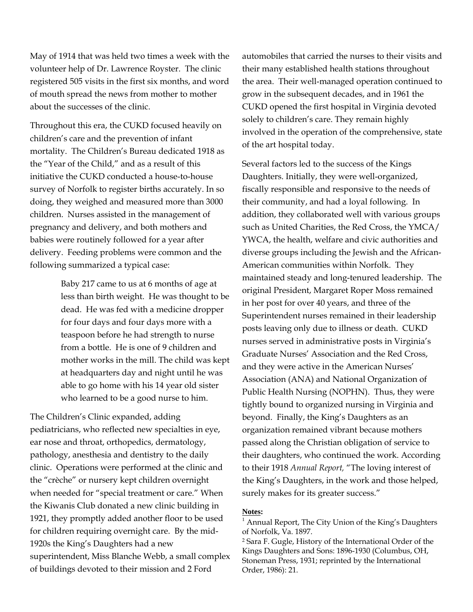May of 1914 that was held two times a week with the volunteer help of Dr. Lawrence Royster. The clinic registered 505 visits in the first six months, and word of mouth spread the news from mother to mother about the successes of the clinic.

Throughout this era, the CUKD focused heavily on children's care and the prevention of infant mortality. The Children's Bureau dedicated 1918 as the "Year of the Child," and as a result of this initiative the CUKD conducted a house-to-house survey of Norfolk to register births accurately. In so doing, they weighed and measured more than 3000 children. Nurses assisted in the management of pregnancy and delivery, and both mothers and babies were routinely followed for a year after delivery. Feeding problems were common and the following summarized a typical case:

> Baby 217 came to us at 6 months of age at less than birth weight. He was thought to be dead. He was fed with a medicine dropper for four days and four days more with a teaspoon before he had strength to nurse from a bottle. He is one of 9 children and mother works in the mill. The child was kept at headquarters day and night until he was able to go home with his 14 year old sister who learned to be a good nurse to him.

The Children's Clinic expanded, adding pediatricians, who reflected new specialties in eye, ear nose and throat, orthopedics, dermatology, pathology, anesthesia and dentistry to the daily clinic. Operations were performed at the clinic and the "crèche" or nursery kept children overnight when needed for "special treatment or care." When the Kiwanis Club donated a new clinic building in 1921, they promptly added another floor to be used for children requiring overnight care. By the mid-1920s the King's Daughters had a new superintendent, Miss Blanche Webb, a small complex of buildings devoted to their mission and 2 Ford

automobiles that carried the nurses to their visits and their many established health stations throughout the area. Their well-managed operation continued to grow in the subsequent decades, and in 1961 the CUKD opened the first hospital in Virginia devoted solely to children's care. They remain highly involved in the operation of the comprehensive, state of the art hospital today.

Several factors led to the success of the Kings Daughters. Initially, they were well-organized, fiscally responsible and responsive to the needs of their community, and had a loyal following. In addition, they collaborated well with various groups such as United Charities, the Red Cross, the YMCA/ YWCA, the health, welfare and civic authorities and diverse groups including the Jewish and the African-American communities within Norfolk. They maintained steady and long-tenured leadership. The original President, Margaret Roper Moss remained in her post for over 40 years, and three of the Superintendent nurses remained in their leadership posts leaving only due to illness or death. CUKD nurses served in administrative posts in Virginia's Graduate Nurses' Association and the Red Cross, and they were active in the American Nurses' Association (ANA) and National Organization of Public Health Nursing (NOPHN). Thus, they were tightly bound to organized nursing in Virginia and beyond. Finally, the King's Daughters as an organization remained vibrant because mothers passed along the Christian obligation of service to their daughters, who continued the work. According to their 1918 *Annual Report,* "The loving interest of the King's Daughters, in the work and those helped, surely makes for its greater success."

#### **Notes:**

 $<sup>1</sup>$  Annual Report, The City Union of the King's Daughters</sup> of Norfolk, Va. 1897.

2 Sara F. Gugle, History of the International Order of the Kings Daughters and Sons: 1896-1930 (Columbus, OH, Stoneman Press, 1931; reprinted by the International Order, 1986): 21.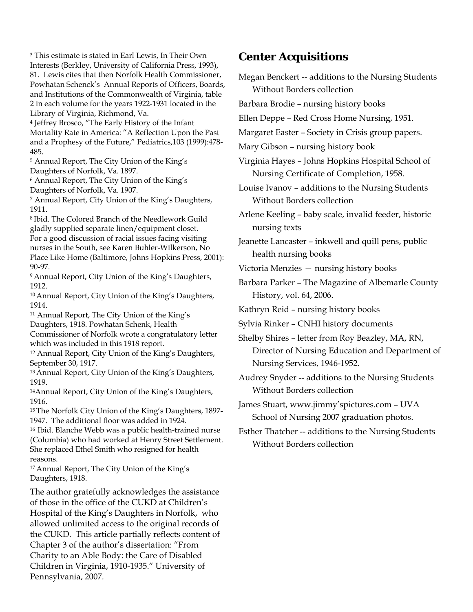3 This estimate is stated in Earl Lewis, In Their Own Interests (Berkley, University of California Press, 1993), 81. Lewis cites that then Norfolk Health Commissioner, Powhatan Schenck's Annual Reports of Officers, Boards, and Institutions of the Commonwealth of Virginia, table 2 in each volume for the years 1922-1931 located in the Library of Virginia, Richmond, Va.

4 Jeffrey Brosco, "The Early History of the Infant Mortality Rate in America: "A Reflection Upon the Past and a Prophesy of the Future," Pediatrics,103 (1999):478- 485.

5 Annual Report, The City Union of the King's Daughters of Norfolk, Va. 1897.

6 Annual Report, The City Union of the King's Daughters of Norfolk, Va. 1907.

7 Annual Report, City Union of the King's Daughters, 1911.

8 Ibid. The Colored Branch of the Needlework Guild gladly supplied separate linen/equipment closet. For a good discussion of racial issues facing visiting nurses in the South, see Karen Buhler-Wilkerson, No Place Like Home (Baltimore, Johns Hopkins Press, 2001): 90-97.

<sup>9</sup> Annual Report, City Union of the King's Daughters, 1912.

10 Annual Report, City Union of the King's Daughters, 1914.

11 Annual Report, The City Union of the King's Daughters, 1918. Powhatan Schenk, Health

Commissioner of Norfolk wrote a congratulatory letter which was included in this 1918 report.

12 Annual Report, City Union of the King's Daughters, September 30, 1917.

13 Annual Report, City Union of the King's Daughters, 1919.

14Annual Report, City Union of the King's Daughters, 1916.

15 The Norfolk City Union of the King's Daughters, 1897- 1947. The additional floor was added in 1924.

16 Ibid. Blanche Webb was a public health-trained nurse (Columbia) who had worked at Henry Street Settlement. She replaced Ethel Smith who resigned for health reasons.

17 Annual Report, The City Union of the King's Daughters, 1918.

The author gratefully acknowledges the assistance of those in the office of the CUKD at Children's Hospital of the King's Daughters in Norfolk, who allowed unlimited access to the original records of the CUKD. This article partially reflects content of Chapter 3 of the author's dissertation: "From Charity to an Able Body: the Care of Disabled Children in Virginia, 1910-1935." University of Pennsylvania, 2007.

#### **Center Acquisitions**

- Megan Benckert -- additions to the Nursing Students Without Borders collection
- Barbara Brodie nursing history books
- Ellen Deppe Red Cross Home Nursing, 1951.
- Margaret Easter Society in Crisis group papers.
- Mary Gibson nursing history book

Virginia Hayes – Johns Hopkins Hospital School of Nursing Certificate of Completion, 1958.

Louise Ivanov – additions to the Nursing Students Without Borders collection

Arlene Keeling – baby scale, invalid feeder, historic nursing texts

Jeanette Lancaster – inkwell and quill pens, public health nursing books

Victoria Menzies — nursing history books

Barbara Parker – The Magazine of Albemarle County History, vol. 64, 2006.

Kathryn Reid – nursing history books

Sylvia Rinker – CNHI history documents

Shelby Shires – letter from Roy Beazley, MA, RN, Director of Nursing Education and Department of Nursing Services, 1946-1952.

Audrey Snyder -- additions to the Nursing Students Without Borders collection

James Stuart, www.jimmy'spictures.com – UVA School of Nursing 2007 graduation photos.

Esther Thatcher -- additions to the Nursing Students Without Borders collection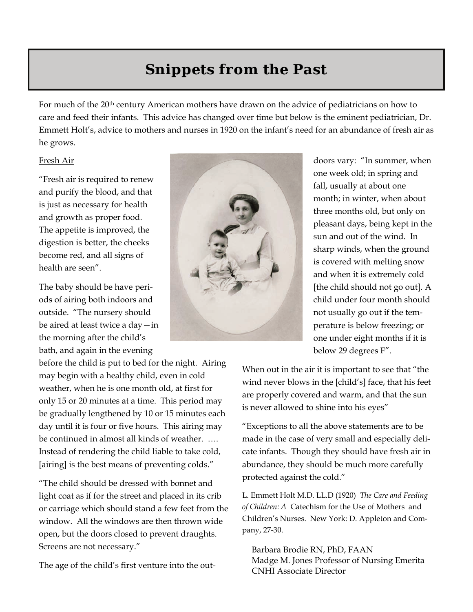# **Snippets from the Past**

For much of the 20th century American mothers have drawn on the advice of pediatricians on how to care and feed their infants. This advice has changed over time but below is the eminent pediatrician, Dr. Emmett Holt's, advice to mothers and nurses in 1920 on the infant's need for an abundance of fresh air as he grows.

#### Fresh Air

"Fresh air is required to renew and purify the blood, and that is just as necessary for health and growth as proper food. The appetite is improved, the digestion is better, the cheeks become red, and all signs of health are seen".

The baby should be have periods of airing both indoors and outside. "The nursery should be aired at least twice a day—in the morning after the child's bath, and again in the evening

before the child is put to bed for the night. Airing may begin with a healthy child, even in cold weather, when he is one month old, at first for only 15 or 20 minutes at a time. This period may be gradually lengthened by 10 or 15 minutes each day until it is four or five hours. This airing may be continued in almost all kinds of weather. …. Instead of rendering the child liable to take cold, [airing] is the best means of preventing colds."

"The child should be dressed with bonnet and light coat as if for the street and placed in its crib or carriage which should stand a few feet from the window. All the windows are then thrown wide open, but the doors closed to prevent draughts. Screens are not necessary."

The age of the child's first venture into the out-



doors vary: "In summer, when one week old; in spring and fall, usually at about one month; in winter, when about three months old, but only on pleasant days, being kept in the sun and out of the wind. In sharp winds, when the ground is covered with melting snow and when it is extremely cold [the child should not go out]. A child under four month should not usually go out if the temperature is below freezing; or one under eight months if it is below 29 degrees F".

When out in the air it is important to see that "the wind never blows in the [child's] face, that his feet are properly covered and warm, and that the sun is never allowed to shine into his eyes"

"Exceptions to all the above statements are to be made in the case of very small and especially delicate infants. Though they should have fresh air in abundance, they should be much more carefully protected against the cold."

L. Emmett Holt M.D. LL.D (1920) *The Care and Feeding of Children: A* Catechism for the Use of Mothers and Children's Nurses. New York: D. Appleton and Company, 27-30.

Barbara Brodie RN, PhD, FAAN Madge M. Jones Professor of Nursing Emerita CNHI Associate Director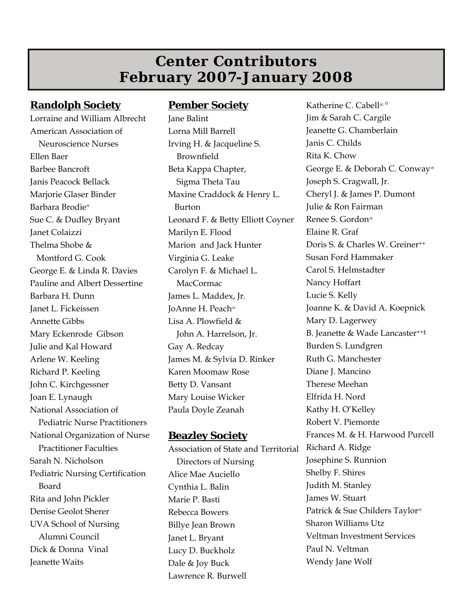### **Center Contributors February 2007-January 2008**

#### **Randolph Society**

Lorraine and William Albrecht American Association of Neuroscience Nurses Ellen Baer Barbee Bancroft Janis Peacock Bellack Marjorie Glaser Binder Barbara Brodie+ Sue C. & Dudley Bryant Janet Colaizzi Thelma Shobe & Montford G. Cook George E. & Linda R. Davies Pauline and Albert Dessertine Barbara H. Dunn Janet L. Fickeissen Annette Gibbs Mary Eckenrode Gibson Julie and Kal Howard Arlene W. Keeling Richard P. Keeling John C. Kirchgessner Joan E. Lynaugh National Association of Pediatric Nurse Practitioners National Organization of Nurse Practitioner Faculties Sarah N. Nicholson Pediatric Nursing Certification Board Rita and John Pickler Denise Geolot Sherer UVA School of Nursing Alumni Council Dick & Donna Vinal Jeanette Waits

#### **Pember Society**

Jane Balint Lorna Mill Barrell Irving H. & Jacqueline S. Brownfield Beta Kappa Chapter, Sigma Theta Tau Maxine Craddock & Henry L. Burton Leonard F. & Betty Elliott Coyner Marilyn E. Flood Marion and Jack Hunter Virginia G. Leake Carolyn F. & Michael L. MacCormac James L. Maddex, Jr. JoAnne H. Peach<sup>∞</sup> Lisa A. Plowfield & John A. Harrelson, Jr. Gay A. Redcay James M. & Sylvia D. Rinker Karen Moomaw Rose Betty D. Vansant Mary Louise Wicker Paula Doyle Zeanah

#### **Beazley Society**

Association of State and Territorial Directors of Nursing Alice Mae Auciello Cynthia L. Balin Marie P. Basti Rebecca Bowers Billye Jean Brown Janet L. Bryant Lucy D. Buckholz Dale & Joy Buck Lawrence R. Burwell

Katherine C. Cabell<sup>∞</sup> ° Jim & Sarah C. Cargile Jeanette G. Chamberlain Janis C. Childs Rita K. Chow George E. & Deborah C. Conway<sup>∞</sup> Joseph S. Cragwall, Jr. Cheryl J. & James P. Dumont Julie & Ron Fairman Renee S. Gordon<sup>∞</sup> Elaine R. Graf Doris S. & Charles W. Greiner<sup>++</sup> Susan Ford Hammaker Carol S. Helmstadter Nancy Hoffart Lucie S. Kelly Joanne K. & David A. Koepnick Mary D. Lagerwey B. Jeanette & Wade Lancaster++‡ Burden S. Lundgren Ruth G. Manchester Diane J. Mancino Therese Meehan Elfrida H. Nord Kathy H. O'Kelley Robert V. Piemonte Frances M. & H. Harwood Purcell Richard A. Ridge Josephine S. Runnion Shelby F. Shires Judith M. Stanley James W. Stuart Patrick & Sue Childers Taylor<sup>∞</sup> Sharon Williams Utz Veltman Investment Services Paul N. Veltman Wendy Jane Wolf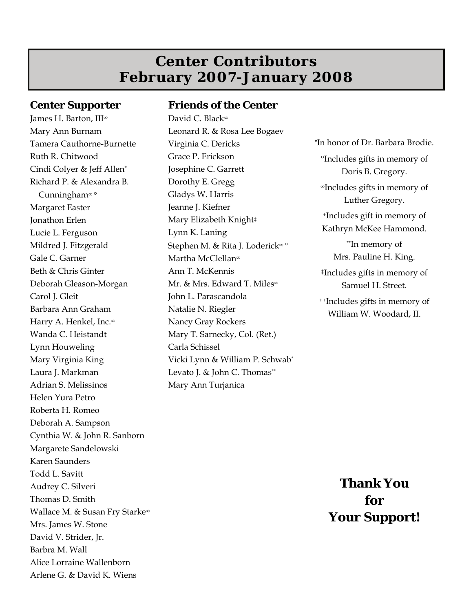### **Center Contributors February 2007-January 2008**

#### **Center Supporter**

James H. Barton, III<sup>∞</sup> Mary Ann Burnam Tamera Cauthorne-Burnette Ruth R. Chitwood Cindi Colyer & Jeff Allen\* Richard P. & Alexandra B. Cunningham<sup>∞</sup> ° Margaret Easter Jonathon Erlen Lucie L. Ferguson Mildred J. Fitzgerald Gale C. Garner Beth & Chris Ginter Deborah Gleason-Morgan Carol J. Gleit Barbara Ann Graham Harry A. Henkel, Inc.<sup>∞</sup> Wanda C. Heistandt Lynn Houweling Mary Virginia King Laura J. Markman Adrian S. Melissinos Helen Yura Petro Roberta H. Romeo Deborah A. Sampson Cynthia W. & John R. Sanborn Margarete Sandelowski Karen Saunders Todd L. Savitt Audrey C. Silveri Thomas D. Smith Wallace M. & Susan Fry Starke<sup>∞</sup> Mrs. James W. Stone David V. Strider, Jr. Barbra M. Wall Alice Lorraine Wallenborn Arlene G. & David K. Wiens

#### **Friends of the Center**

David C. Black<sup>∞</sup> Leonard R. & Rosa Lee Bogaev Virginia C. Dericks Grace P. Erickson Josephine C. Garrett Dorothy E. Gregg Gladys W. Harris Jeanne J. Kiefner Mary Elizabeth Knight‡ Lynn K. Laning Stephen M. & Rita J. Loderick<sup>∞</sup> ° Martha McClellan<sup>∞</sup> Ann T. McKennis Mr. & Mrs. Edward T. Miles<sup>∞</sup> John L. Parascandola Natalie N. Riegler Nancy Gray Rockers Mary T. Sarnecky, Col. (Ret.) Carla Schissel Vicki Lynn & William P. Schwab\* Levato J. & John C. Thomas\*\* Mary Ann Turjanica

\*In honor of Dr. Barbara Brodie. °Includes gifts in memory of Doris B. Gregory. <sup>∞</sup>Includes gifts in memory of Luther Gregory. +Includes gift in memory of Kathryn McKee Hammond. \*\*In memory of Mrs. Pauline H. King. ‡Includes gifts in memory of Samuel H. Street. ++Includes gifts in memory of William W. Woodard, II.

> **Thank You for Your Support!**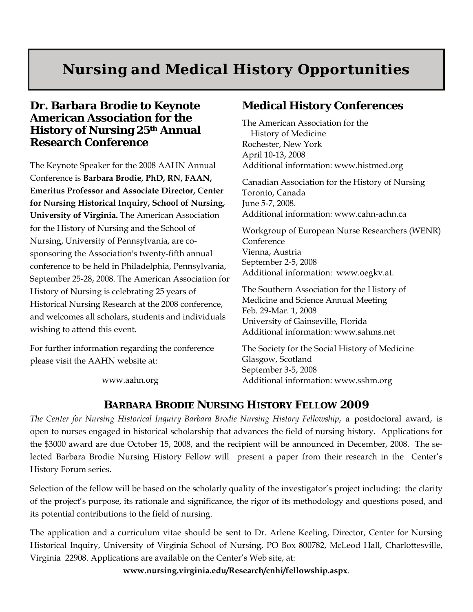# **Nursing and Medical History Opportunities**

#### **Dr. Barbara Brodie to Keynote American Association for the History of Nursing 25th Annual Research Conference**

The Keynote Speaker for the 2008 AAHN Annual Conference is **Barbara Brodie, PhD, RN, FAAN, Emeritus Professor and Associate Director, Center for Nursing Historical Inquiry, School of Nursing, University of Virginia.** The American Association for the History of Nursing and the School of Nursing, University of Pennsylvania, are cosponsoring the Association's twenty-fifth annual conference to be held in Philadelphia, Pennsylvania, September 25-28, 2008. The American Association for History of Nursing is celebrating 25 years of Historical Nursing Research at the 2008 conference, and welcomes all scholars, students and individuals wishing to attend this event.

For further information regarding the conference please visit the AAHN website at:

www.aahn.org

#### **Medical History Conferences**

The American Association for the History of Medicine Rochester, New York April 10-13, 2008 Additional information: www.histmed.org

Canadian Association for the History of Nursing Toronto, Canada June 5-7, 2008. Additional information: www.cahn-achn.ca

Workgroup of European Nurse Researchers (WENR) Conference Vienna, Austria September 2-5, 2008 Additional information: www.oegkv.at.

The Southern Association for the History of Medicine and Science Annual Meeting Feb. 29-Mar. 1, 2008 University of Gainseville, Florida Additional information: www.sahms.net

The Society for the Social History of Medicine Glasgow, Scotland September 3-5, 2008 Additional information: www.sshm.org

#### **BARBARA BRODIE NURSING HISTORY FELLOW 2009**

*The Center for Nursing Historical Inquiry Barbara Brodie Nursing History Fellowship*, a postdoctoral award, is open to nurses engaged in historical scholarship that advances the field of nursing history. Applications for the \$3000 award are due October 15, 2008, and the recipient will be announced in December, 2008. The selected Barbara Brodie Nursing History Fellow will present a paper from their research in the Center's History Forum series.

Selection of the fellow will be based on the scholarly quality of the investigator's project including: the clarity of the project's purpose, its rationale and significance, the rigor of its methodology and questions posed, and its potential contributions to the field of nursing.

The application and a curriculum vitae should be sent to Dr. Arlene Keeling, Director, Center for Nursing Historical Inquiry, University of Virginia School of Nursing, PO Box 800782, McLeod Hall, Charlottesville, Virginia 22908. Applications are available on the Center's Web site, at:

**www.nursing.virginia.edu/Research/cnhi/fellowship.aspx**.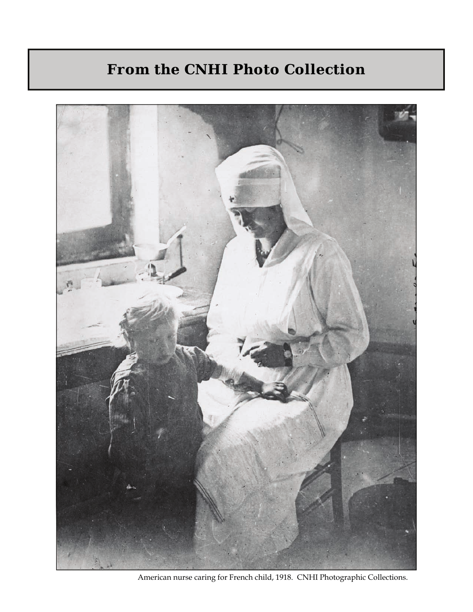# **From the CNHI Photo Collection**



American nurse caring for French child, 1918. CNHI Photographic Collections.